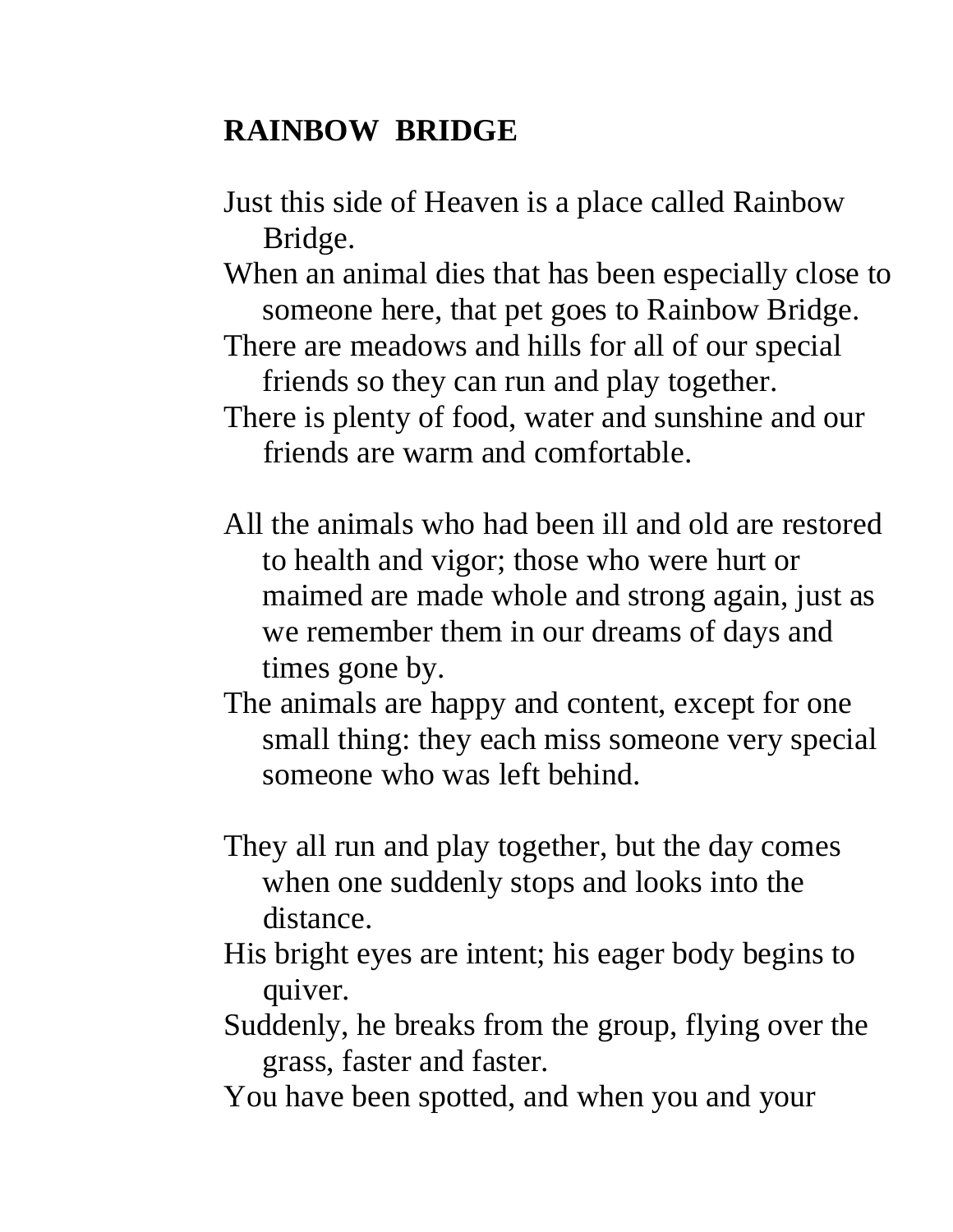## **RAINBOW BRIDGE**

- Just this side of Heaven is a place called Rainbow Bridge.
- When an animal dies that has been especially close to someone here, that pet goes to Rainbow Bridge.
- There are meadows and hills for all of our special friends so they can run and play together.
- There is plenty of food, water and sunshine and our friends are warm and comfortable.
- All the animals who had been ill and old are restored to health and vigor; those who were hurt or maimed are made whole and strong again, just as we remember them in our dreams of days and times gone by.
- The animals are happy and content, except for one small thing: they each miss someone very special someone who was left behind.
- They all run and play together, but the day comes when one suddenly stops and looks into the distance.
- His bright eyes are intent; his eager body begins to quiver.
- Suddenly, he breaks from the group, flying over the grass, faster and faster.
- You have been spotted, and when you and your